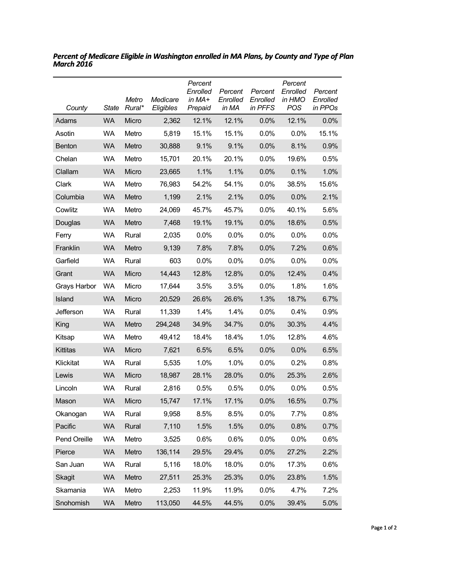| County        | State     | Metro<br>Rural* | Medicare<br>Eligibles | Percent<br>Enrolled<br>in MA+<br>Prepaid | Percent<br>Enrolled<br>in MA | Percent<br>Enrolled<br>in PFFS | Percent<br>Enrolled<br>in HMO<br>POS | Percent<br>Enrolled<br>in PPOs |
|---------------|-----------|-----------------|-----------------------|------------------------------------------|------------------------------|--------------------------------|--------------------------------------|--------------------------------|
| Adams         | <b>WA</b> | Micro           | 2,362                 | 12.1%                                    | 12.1%                        | 0.0%                           | 12.1%                                | 0.0%                           |
| Asotin        | WA        | Metro           | 5,819                 | 15.1%                                    | 15.1%                        | 0.0%                           | 0.0%                                 | 15.1%                          |
| <b>Benton</b> | <b>WA</b> | Metro           | 30,888                | 9.1%                                     | 9.1%                         | 0.0%                           | 8.1%                                 | 0.9%                           |
| Chelan        | WA        | Metro           | 15,701                | 20.1%                                    | 20.1%                        | 0.0%                           | 19.6%                                | 0.5%                           |
| Clallam       | <b>WA</b> | Micro           | 23,665                | 1.1%                                     | 1.1%                         | 0.0%                           | 0.1%                                 | 1.0%                           |
| Clark         | <b>WA</b> | Metro           | 76,983                | 54.2%                                    | 54.1%                        | 0.0%                           | 38.5%                                | 15.6%                          |
| Columbia      | <b>WA</b> | Metro           | 1,199                 | 2.1%                                     | 2.1%                         | 0.0%                           | 0.0%                                 | 2.1%                           |
| Cowlitz       | <b>WA</b> | Metro           | 24,069                | 45.7%                                    | 45.7%                        | $0.0\%$                        | 40.1%                                | 5.6%                           |
| Douglas       | <b>WA</b> | Metro           | 7,468                 | 19.1%                                    | 19.1%                        | 0.0%                           | 18.6%                                | 0.5%                           |
| Ferry         | <b>WA</b> | Rural           | 2,035                 | 0.0%                                     | 0.0%                         | 0.0%                           | 0.0%                                 | 0.0%                           |
| Franklin      | <b>WA</b> | Metro           | 9,139                 | 7.8%                                     | 7.8%                         | 0.0%                           | 7.2%                                 | 0.6%                           |
| Garfield      | WA        | Rural           | 603                   | 0.0%                                     | 0.0%                         | 0.0%                           | 0.0%                                 | 0.0%                           |
| Grant         | <b>WA</b> | Micro           | 14,443                | 12.8%                                    | 12.8%                        | 0.0%                           | 12.4%                                | 0.4%                           |
| Grays Harbor  | WA        | Micro           | 17,644                | 3.5%                                     | 3.5%                         | 0.0%                           | 1.8%                                 | 1.6%                           |
| Island        | <b>WA</b> | Micro           | 20,529                | 26.6%                                    | 26.6%                        | 1.3%                           | 18.7%                                | 6.7%                           |
| Jefferson     | WA        | Rural           | 11,339                | 1.4%                                     | 1.4%                         | 0.0%                           | 0.4%                                 | 0.9%                           |
| King          | <b>WA</b> | Metro           | 294,248               | 34.9%                                    | 34.7%                        | 0.0%                           | 30.3%                                | 4.4%                           |
| Kitsap        | <b>WA</b> | Metro           | 49,412                | 18.4%                                    | 18.4%                        | 1.0%                           | 12.8%                                | 4.6%                           |
| Kittitas      | <b>WA</b> | Micro           | 7,621                 | 6.5%                                     | 6.5%                         | 0.0%                           | 0.0%                                 | 6.5%                           |
| Klickitat     | WA        | Rural           | 5,535                 | 1.0%                                     | 1.0%                         | 0.0%                           | 0.2%                                 | 0.8%                           |
| Lewis         | <b>WA</b> | Micro           | 18,987                | 28.1%                                    | 28.0%                        | 0.0%                           | 25.3%                                | 2.6%                           |
| Lincoln       | <b>WA</b> | Rural           | 2,816                 | 0.5%                                     | 0.5%                         | 0.0%                           | 0.0%                                 | 0.5%                           |
| Mason         | <b>WA</b> | Micro           | 15,747                | 17.1%                                    | 17.1%                        | 0.0%                           | 16.5%                                | 0.7%                           |
| Okanogan      | <b>WA</b> | Rural           | 9,958                 | 8.5%                                     | 8.5%                         | 0.0%                           | 7.7%                                 | 0.8%                           |
| Pacific       | <b>WA</b> | Rural           | 7,110                 | 1.5%                                     | 1.5%                         | 0.0%                           | 0.8%                                 | 0.7%                           |
| Pend Oreille  | WA        | Metro           | 3,525                 | 0.6%                                     | 0.6%                         | 0.0%                           | 0.0%                                 | 0.6%                           |
| Pierce        | <b>WA</b> | Metro           | 136,114               | 29.5%                                    | 29.4%                        | 0.0%                           | 27.2%                                | 2.2%                           |
| San Juan      | WA        | Rural           | 5,116                 | 18.0%                                    | 18.0%                        | 0.0%                           | 17.3%                                | 0.6%                           |
| <b>Skagit</b> | <b>WA</b> | Metro           | 27,511                | 25.3%                                    | 25.3%                        | 0.0%                           | 23.8%                                | 1.5%                           |
| Skamania      | WA        | Metro           | 2,253                 | 11.9%                                    | 11.9%                        | 0.0%                           | 4.7%                                 | 7.2%                           |
| Snohomish     | <b>WA</b> | Metro           | 113,050               | 44.5%                                    | 44.5%                        | 0.0%                           | 39.4%                                | 5.0%                           |

*Percent of Medicare Eligible in Washington enrolled in MA Plans, by County and Type of Plan March 2016*